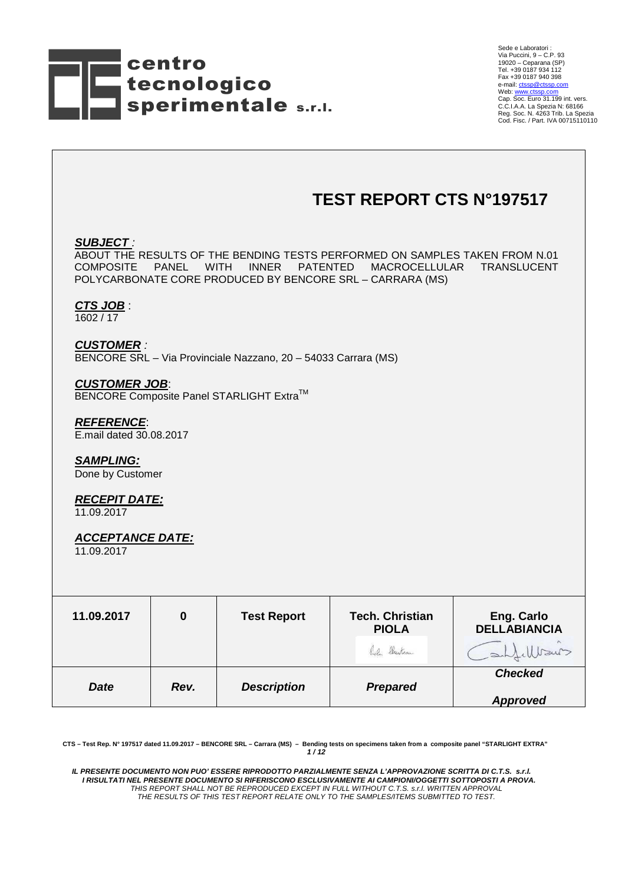

# **TEST REPORT CTS N°197517**

#### **SUBJECT** :

ABOUT THE RESULTS OF THE BENDING TESTS PERFORMED ON SAMPLES TAKEN FROM N.01 COMPOSITE PANEL WITH INNER PATENTED MACROCELLULAR TRANSLUCENT POLYCARBONATE CORE PRODUCED BY BENCORE SRL – CARRARA (MS)

### **CTS JOB** :

1602 / 17

### **CUSTOMER** :

BENCORE SRL – Via Provinciale Nazzano, 20 – 54033 Carrara (MS)

### **CUSTOMER JOB**:

**BENCORE Composite Panel STARLIGHT Extra™** 

### **REFERENCE**:

E.mail dated 30.08.2017

### **SAMPLING:**

Done by Customer

## **RECEPIT DATE:**

11.09.2017

### **ACCEPTANCE DATE:**

11.09.2017

| 11.09.2017  | 0    | <b>Test Report</b> | <b>Tech. Christian</b><br><b>PIOLA</b><br>Rola Clarkon | <b>Eng. Carlo</b><br><b>DELLABIANCIA</b><br>Consultations |
|-------------|------|--------------------|--------------------------------------------------------|-----------------------------------------------------------|
| <b>Date</b> | Rev. | <b>Description</b> | <b>Prepared</b>                                        | <b>Checked</b><br><b>Approved</b>                         |

**CTS – Test Rep. N° 197517 dated 11.09.2017 – BENCORE SRL – Carrara (MS) – Bending tests on specimens taken from a composite panel "STARLIGHT EXTRA" 1 / 12**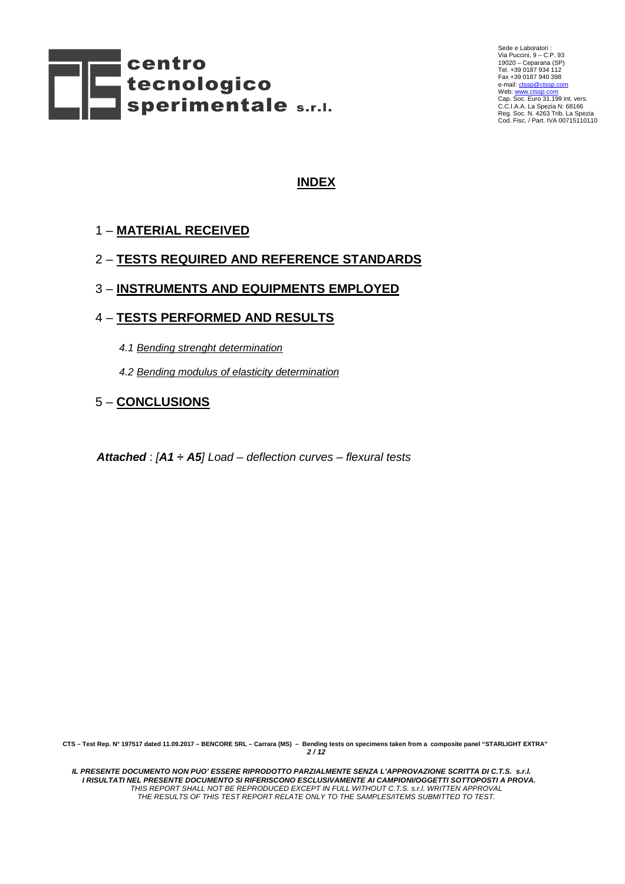

## **INDEX**

## 1 – **MATERIAL RECEIVED**

## 2 – **TESTS REQUIRED AND REFERENCE STANDARDS**

## 3 – **INSTRUMENTS AND EQUIPMENTS EMPLOYED**

## 4 – **TESTS PERFORMED AND RESULTS**

4.1 Bending strenght determination

4.2 Bending modulus of elasticity determination

## 5 – **CONCLUSIONS**

**Attached** : [**A1 ÷ A5**] Load – deflection curves – flexural tests

**CTS – Test Rep. N° 197517 dated 11.09.2017 – BENCORE SRL – Carrara (MS) – Bending tests on specimens taken from a composite panel "STARLIGHT EXTRA" 2 / 12**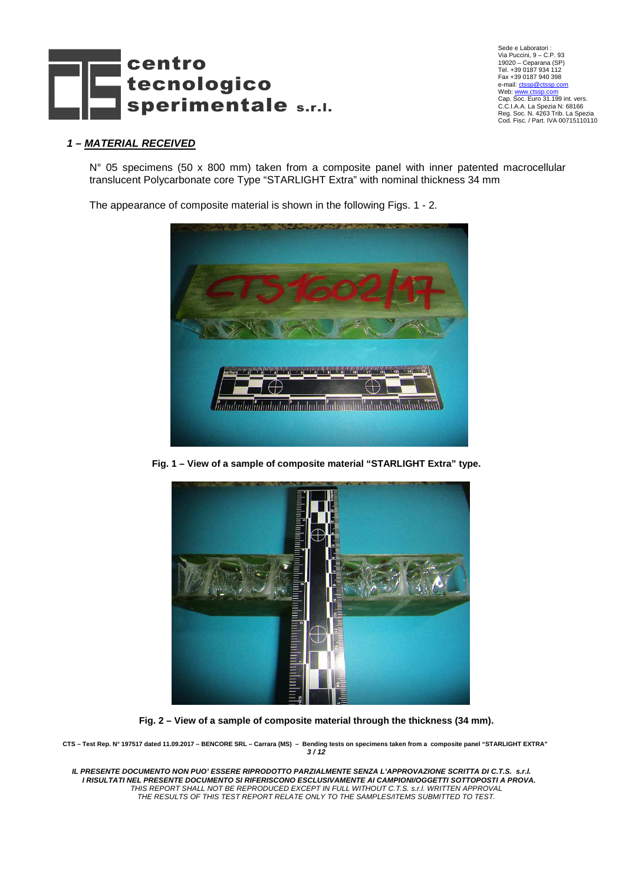

### **1 – MATERIAL RECEIVED**

N° 05 specimens (50 x 800 mm) taken from a composite panel with inner patented macrocellular translucent Polycarbonate core Type "STARLIGHT Extra" with nominal thickness 34 mm

The appearance of composite material is shown in the following Figs. 1 - 2.



**Fig. 1 – View of a sample of composite material "STARLIGHT Extra" type.** 



**Fig. 2 – View of a sample of composite material through the thickness (34 mm).** 

**CTS – Test Rep. N° 197517 dated 11.09.2017 – BENCORE SRL – Carrara (MS) – Bending tests on specimens taken from a composite panel "STARLIGHT EXTRA" 3 / 12**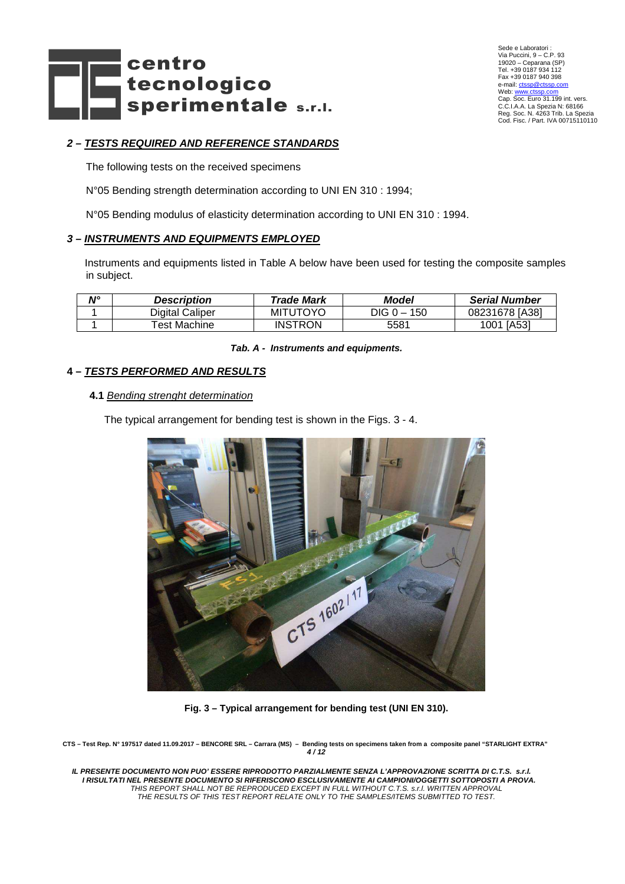

## **2 – TESTS REQUIRED AND REFERENCE STANDARDS**

The following tests on the received specimens

N°05 Bending strength determination according to UNI EN 310 : 1994;

N°05 Bending modulus of elasticity determination according to UNI EN 310 : 1994.

### **3 – INSTRUMENTS AND EQUIPMENTS EMPLOYED**

 Instruments and equipments listed in Table A below have been used for testing the composite samples in subject.

| N° | Description     | Trade Mark      | Model         | <b>Serial Number</b> |
|----|-----------------|-----------------|---------------|----------------------|
|    | Digital Caliper | <b>MITUTOYO</b> | $DIG 0 - 150$ | 08231678 [A38]       |
|    | Test Machine    | <b>INSTRON</b>  | 5581          | 1001 [A53]           |

#### **Tab. A - Instruments and equipments.**

### **4 – TESTS PERFORMED AND RESULTS**

#### **4.1** Bending strenght determination

The typical arrangement for bending test is shown in the Figs. 3 - 4.



**Fig. 3 – Typical arrangement for bending test (UNI EN 310).** 

**CTS – Test Rep. N° 197517 dated 11.09.2017 – BENCORE SRL – Carrara (MS) – Bending tests on specimens taken from a composite panel "STARLIGHT EXTRA" 4 / 12**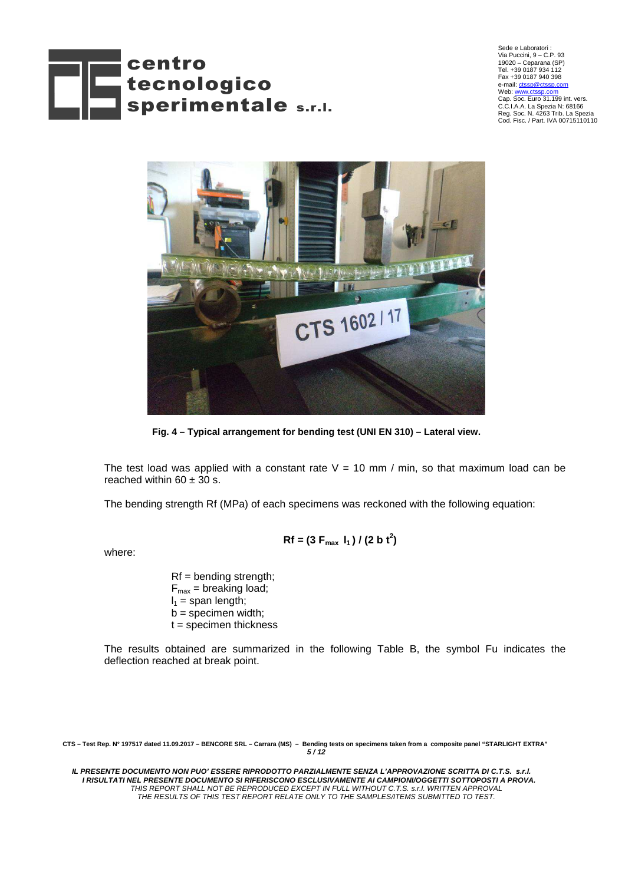



**Fig. 4 – Typical arrangement for bending test (UNI EN 310) – Lateral view.** 

The test load was applied with a constant rate  $V = 10$  mm / min, so that maximum load can be reached within  $60 \pm 30$  s.

The bending strength Rf (MPa) of each specimens was reckoned with the following equation:

$$
Rf = (3 F_{max} I_1) / (2 b t^2)
$$

where:

 $Rf =$  bending strength;  $F_{\text{max}}$  = breaking load;  $I_1$  = span length;  $b =$  specimen width;  $t =$  specimen thickness

The results obtained are summarized in the following Table B, the symbol Fu indicates the deflection reached at break point.

**CTS – Test Rep. N° 197517 dated 11.09.2017 – BENCORE SRL – Carrara (MS) – Bending tests on specimens taken from a composite panel "STARLIGHT EXTRA" 5 / 12**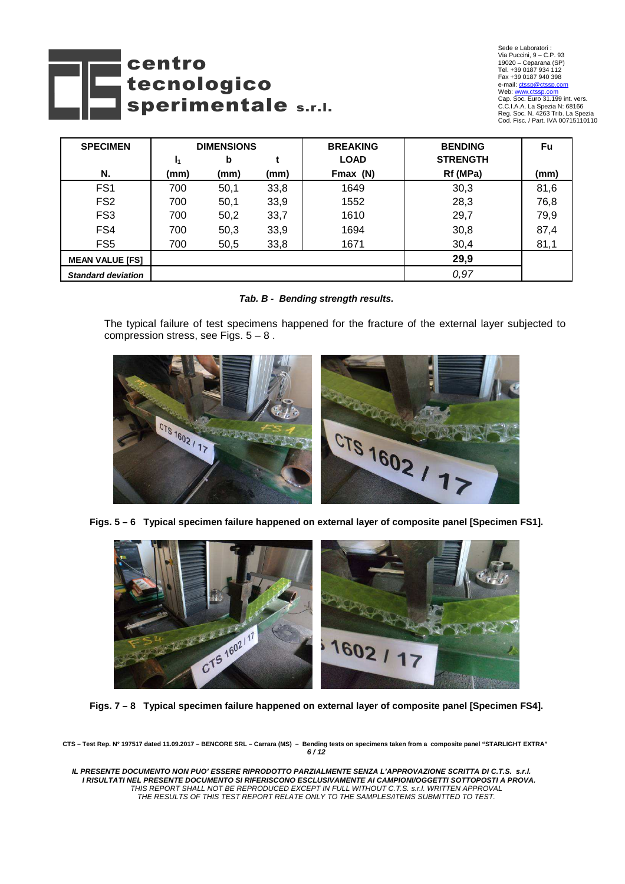



| <b>SPECIMEN</b>           | <b>DIMENSIONS</b> |      |      | <b>BREAKING</b> | <b>BENDING</b>  | <b>Fu</b> |
|---------------------------|-------------------|------|------|-----------------|-----------------|-----------|
|                           | I1                | b    |      | <b>LOAD</b>     | <b>STRENGTH</b> |           |
| N.                        | (mm)              | (mm) | (mm) | Fmax (N)        | Rf (MPa)        | (mm)      |
| FS <sub>1</sub>           | 700               | 50,1 | 33,8 | 1649            | 30,3            | 81,6      |
| FS <sub>2</sub>           | 700               | 50,1 | 33,9 | 1552            | 28,3            | 76,8      |
| FS <sub>3</sub>           | 700               | 50,2 | 33,7 | 1610            | 29,7            | 79,9      |
| FS4                       | 700               | 50,3 | 33,9 | 1694            | 30,8            | 87,4      |
| FS <sub>5</sub>           | 700               | 50,5 | 33,8 | 1671            | 30,4            | 81,1      |
| <b>MEAN VALUE [FS]</b>    |                   |      |      |                 | 29,9            |           |
| <b>Standard deviation</b> |                   |      |      |                 | 0,97            |           |

#### **Tab. B - Bending strength results.**

The typical failure of test specimens happened for the fracture of the external layer subjected to compression stress, see Figs.  $5 - 8$ .



**Figs. 5 – 6 Typical specimen failure happened on external layer of composite panel [Specimen FS1].** 



**Figs. 7 – 8 Typical specimen failure happened on external layer of composite panel [Specimen FS4].** 

**CTS – Test Rep. N° 197517 dated 11.09.2017 – BENCORE SRL – Carrara (MS) – Bending tests on specimens taken from a composite panel "STARLIGHT EXTRA" 6 / 12**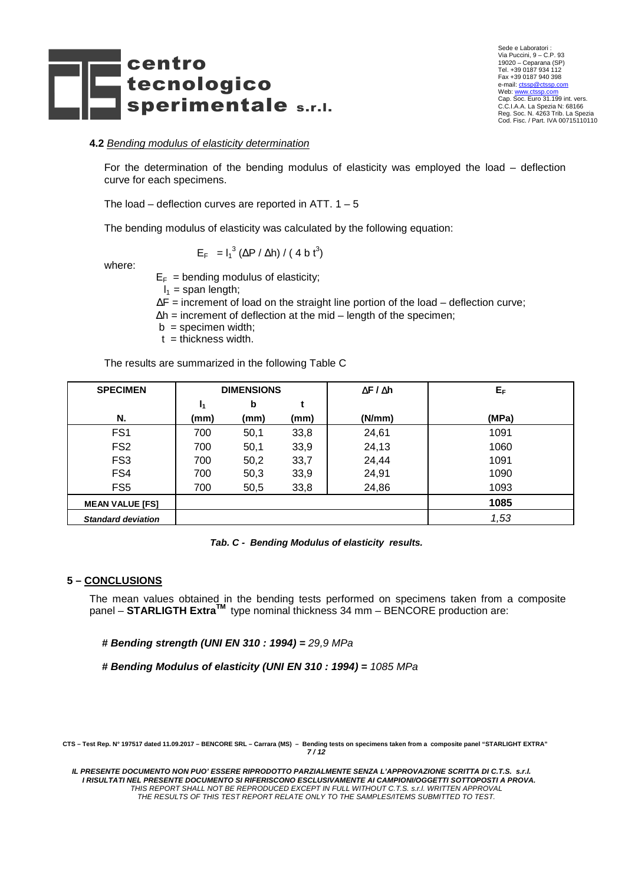

#### **4.2** Bending modulus of elasticity determination

For the determination of the bending modulus of elasticity was employed the load – deflection curve for each specimens.

The load – deflection curves are reported in ATT.  $1 - 5$ 

The bending modulus of elasticity was calculated by the following equation:

$$
E_F = I_1^3 (\Delta P / \Delta h) / (4 b t^3)
$$

where:

 $E_F$  = bending modulus of elasticity;

 $I_1$  = span length;

 $\Delta F$  = increment of load on the straight line portion of the load – deflection curve;

∆h = increment of deflection at the mid – length of the specimen;

- $b =$  specimen width:
- $t =$  thickness width.

The results are summarized in the following Table C

| <b>SPECIMEN</b>           | <b>DIMENSIONS</b> |      |      | $\Delta$ F / $\Delta$ h | $E_F$ |
|---------------------------|-------------------|------|------|-------------------------|-------|
|                           | I1                | b    |      |                         |       |
| Ν.                        | (mm)              | (mm) | (mm) | (N/mm)                  | (MPa) |
| FS <sub>1</sub>           | 700               | 50,1 | 33,8 | 24,61                   | 1091  |
| FS <sub>2</sub>           | 700               | 50,1 | 33,9 | 24,13                   | 1060  |
| FS <sub>3</sub>           | 700               | 50,2 | 33,7 | 24,44                   | 1091  |
| FS4                       | 700               | 50,3 | 33,9 | 24,91                   | 1090  |
| FS <sub>5</sub>           | 700               | 50,5 | 33,8 | 24,86                   | 1093  |
| <b>MEAN VALUE [FS]</b>    |                   |      |      |                         | 1085  |
| <b>Standard deviation</b> |                   |      |      |                         | 1,53  |

**Tab. C - Bending Modulus of elasticity results.** 

#### **5 – CONCLUSIONS**

The mean values obtained in the bending tests performed on specimens taken from a composite panel – **STARLIGTH ExtraTM** type nominal thickness 34 mm – BENCORE production are:

 **# Bending strength (UNI EN 310 : 1994) =** 29,9 MPa

 **# Bending Modulus of elasticity (UNI EN 310 : 1994) =** 1085 MPa

**CTS – Test Rep. N° 197517 dated 11.09.2017 – BENCORE SRL – Carrara (MS) – Bending tests on specimens taken from a composite panel "STARLIGHT EXTRA" 7 / 12**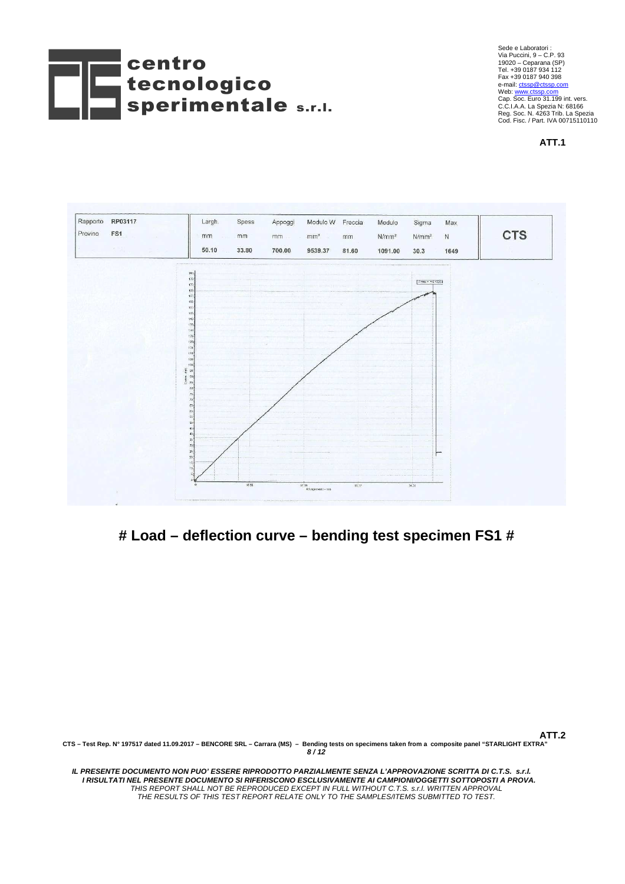



**ATT.1** 



## **# Load – deflection curve – bending test specimen FS1 #**

**CTS – Test Rep. N° 197517 dated 11.09.2017 – BENCORE SRL – Carrara (MS) – Bending tests on specimens taken from a composite panel "STARLIGHT EXTRA" 8 / 12 ATT.2**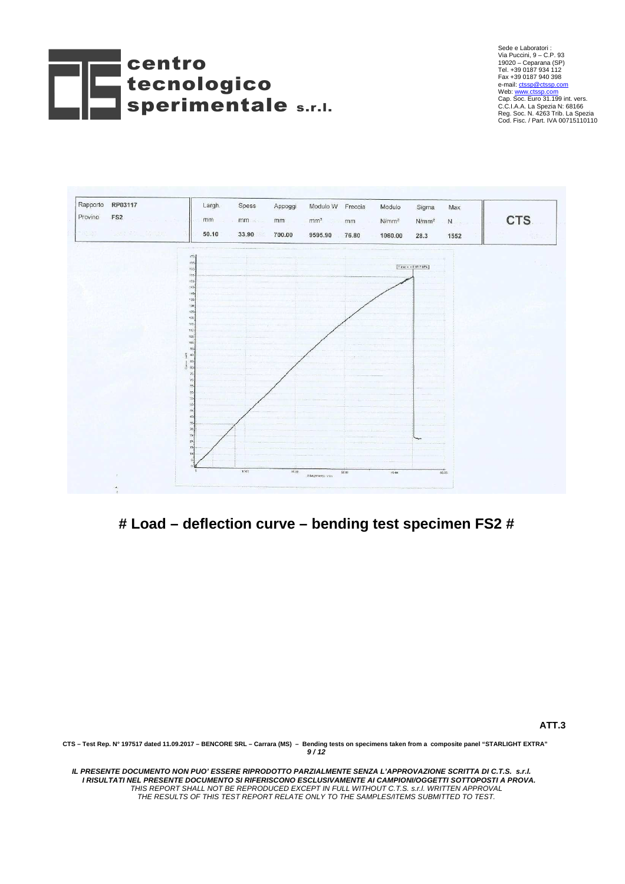





## **# Load – deflection curve – bending test specimen FS2 #**

**ATT.3** 

**CTS – Test Rep. N° 197517 dated 11.09.2017 – BENCORE SRL – Carrara (MS) – Bending tests on specimens taken from a composite panel "STARLIGHT EXTRA" 9 / 12**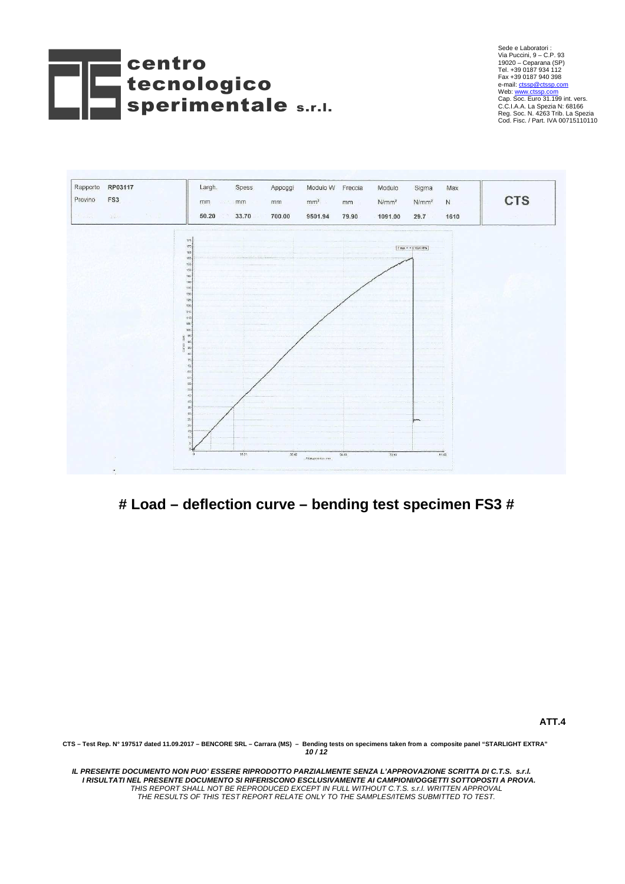

![](_page_9_Picture_1.jpeg)

![](_page_9_Figure_2.jpeg)

# **# Load – deflection curve – bending test specimen FS3 #**

**ATT.4** 

**CTS – Test Rep. N° 197517 dated 11.09.2017 – BENCORE SRL – Carrara (MS) – Bending tests on specimens taken from a composite panel "STARLIGHT EXTRA" 10 / 12**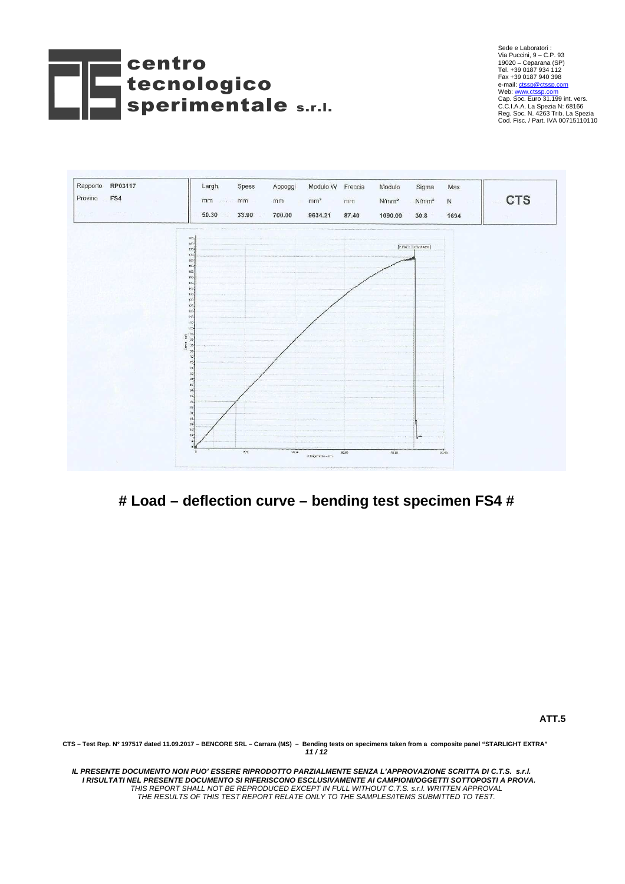![](_page_10_Picture_0.jpeg)

![](_page_10_Picture_1.jpeg)

![](_page_10_Figure_2.jpeg)

## **# Load – deflection curve – bending test specimen FS4 #**

**ATT.5** 

**CTS – Test Rep. N° 197517 dated 11.09.2017 – BENCORE SRL – Carrara (MS) – Bending tests on specimens taken from a composite panel "STARLIGHT EXTRA" 11 / 12**